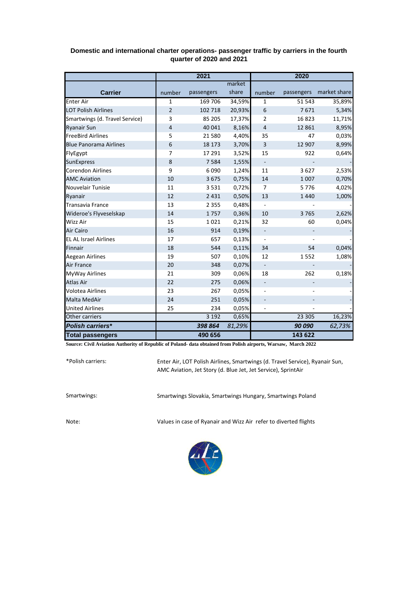|                                | 2021           |            |        | 2020                     |            |              |  |
|--------------------------------|----------------|------------|--------|--------------------------|------------|--------------|--|
|                                |                |            | market |                          |            |              |  |
| <b>Carrier</b>                 | number         | passengers | share  | number                   | passengers | market share |  |
| <b>Enter Air</b>               | 1              | 169 706    | 34,59% | 1                        | 51 543     | 35,89%       |  |
| <b>LOT Polish Airlines</b>     | $\overline{2}$ | 102 718    | 20,93% | 6                        | 7671       | 5,34%        |  |
| Smartwings (d. Travel Service) | 3              | 85 205     | 17,37% | 2                        | 16823      | 11,71%       |  |
| <b>Ryanair Sun</b>             | 4              | 40 041     | 8,16%  | $\overline{4}$           | 12 8 61    | 8,95%        |  |
| <b>FreeBird Airlines</b>       | 5              | 21 5 80    | 4,40%  | 35                       | 47         | 0,03%        |  |
| <b>Blue Panorama Airlines</b>  | 6              | 18 173     | 3,70%  | 3                        | 12 907     | 8,99%        |  |
| FlyEgypt                       | 7              | 17 291     | 3,52%  | 15                       | 922        | 0,64%        |  |
| SunExpress                     | 8              | 7 5 8 4    | 1,55%  |                          |            |              |  |
| <b>Corendon Airlines</b>       | 9              | 6090       | 1,24%  | 11                       | 3627       | 2,53%        |  |
| <b>AMC Aviation</b>            | 10             | 3675       | 0,75%  | 14                       | 1 0 0 7    | 0,70%        |  |
| Nouvelair Tunisie              | 11             | 3531       | 0,72%  | 7                        | 5776       | 4,02%        |  |
| Ryanair                        | 12             | 2 4 3 1    | 0,50%  | 13                       | 1440       | 1,00%        |  |
| <b>Transavia France</b>        | 13             | 2 3 5 5    | 0,48%  |                          |            |              |  |
| Wideroe's Flyveselskap         | 14             | 1757       | 0,36%  | 10                       | 3765       | 2,62%        |  |
| Wizz Air                       | 15             | 1021       | 0,21%  | 32                       | 60         | 0,04%        |  |
| <b>Air Cairo</b>               | 16             | 914        | 0,19%  | $\overline{\phantom{a}}$ |            |              |  |
| <b>EL AL Israel Airlines</b>   | 17             | 657        | 0,13%  | $\blacksquare$           |            |              |  |
| Finnair                        | 18             | 544        | 0,11%  | 34                       | 54         | 0,04%        |  |
| <b>Aegean Airlines</b>         | 19             | 507        | 0,10%  | 12                       | 1552       | 1,08%        |  |
| <b>Air France</b>              | 20             | 348        | 0,07%  | $\overline{\phantom{a}}$ |            |              |  |
| <b>MyWay Airlines</b>          | 21             | 309        | 0,06%  | 18                       | 262        | 0,18%        |  |
| Atlas Air                      | 22             | 275        | 0,06%  |                          |            |              |  |
| <b>Volotea Airlines</b>        | 23             | 267        | 0,05%  |                          |            |              |  |
| Malta MedAir                   | 24             | 251        | 0,05%  |                          |            |              |  |
| <b>United Airlines</b>         | 25             | 234        | 0,05%  |                          |            |              |  |
| Other carriers                 |                | 3192       | 0,65%  |                          | 23 30 5    | 16,23%       |  |
| <b>Polish carriers*</b>        |                | 398 864    | 81,29% |                          | 90 090     | 62,73%       |  |
| <b>Total passengers</b>        |                | 490 656    |        |                          | 143 622    |              |  |

## **Domestic and international charter operations- passenger traffic by carriers in the fourth quarter of 2020 and 2021**

**Source: Civil Aviation Authority of Republic of Poland- data obtained from Polish airports, Warsaw, March 2022**

\*Polish carriers:

Enter Air, LOT Polish Airlines, Smartwings (d. Travel Service), Ryanair Sun, AMC Aviation, Jet Story (d. Blue Jet, Jet Service), SprintAir

Smartwings: Smartwings Slovakia, Smartwings Hungary, Smartwings Poland

Note: Values in case of Ryanair and Wizz Air refer to diverted flights